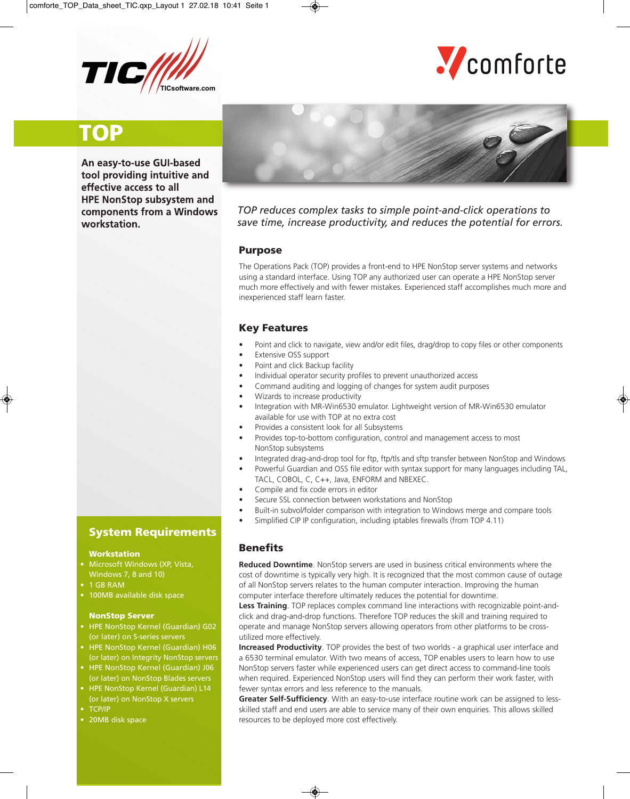



# **TOP**

**An easy-to-use GUI-based tool providing intuitive and effective access to all HPE NonStop subsystem and components from a Windows workstation.**



*TOP reduces complex tasks to simple point-and-click operations to save time, increase productivity, and reduces the potential for errors.*

#### **Purpose**

The Operations Pack (TOP) provides a front-end to HPE NonStop server systems and networks using a standard interface. Using TOP any authorized user can operate a HPE NonStop server much more effectively and with fewer mistakes. Experienced staff accomplishes much more and inexperienced staff learn faster.

### **Key Features**

- Point and click to navigate, view and/or edit files, drag/drop to copy files or other components
- **Extensive OSS support**
- Point and click Backup facility
- Individual operator security profiles to prevent unauthorized access
- Command auditing and logging of changes for system audit purposes
- Wizards to increase productivity
- Integration with MR-Win6530 emulator. Lightweight version of MR-Win6530 emulator available for use with TOP at no extra cost
- Provides a consistent look for all Subsystems
- Provides top-to-bottom configuration, control and management access to most NonStop subsystems
- Integrated drag-and-drop tool for ftp, ftp/tls and sftp transfer between NonStop and Windows
- Powerful Guardian and OSS file editor with syntax support for many languages including TAL, TACL, COBOL, C, C++, Java, ENFORM and NBEXEC.
- Compile and fix code errors in editor
- Secure SSL connection between workstations and NonStop
- Built-in subvol/folder comparison with integration to Windows merge and compare tools
- Simplified CIP IP configuration, including iptables firewalls (from TOP 4.11)

#### **Benefits**

**Reduced Downtime**. NonStop servers are used in business critical environments where the cost of downtime is typically very high. It is recognized that the most common cause of outage of all NonStop servers relates to the human computer interaction. Improving the human computer interface therefore ultimately reduces the potential for downtime.

**Less Training**. TOP replaces complex command line interactions with recognizable point-andclick and drag-and-drop functions. Therefore TOP reduces the skill and training required to operate and manage NonStop servers allowing operators from other platforms to be crossutilized more effectively.

**Increased Productivity**. TOP provides the best of two worlds - a graphical user interface and a 6530 terminal emulator. With two means of access, TOP enables users to learn how to use NonStop servers faster while experienced users can get direct access to command-line tools when required. Experienced NonStop users will find they can perform their work faster, with fewer syntax errors and less reference to the manuals.

**Greater Self-Sufficiency**. With an easy-to-use interface routine work can be assigned to lessskilled staff and end users are able to service many of their own enquiries. This allows skilled resources to be deployed more cost effectively.

## **System Requirements**

#### **Workstation**

- Microsoft Windows (XP, Vista,
- 1 GB RAM
- 100MB available disk space

#### **NonStop Server**

- HPE NonStop Kernel (Guardian) G02 (or later) on S-series servers
- HPE NonStop Kernel (Guardian) H06 (or later) on Integrity NonStop servers
- HPE NonStop Kernel (Guardian) J06 (or later) on NonStop Blades servers
- HPE NonStop Kernel (Guardian) L14 (or later) on NonStop X servers
- TCP/IP
- 20MB disk space